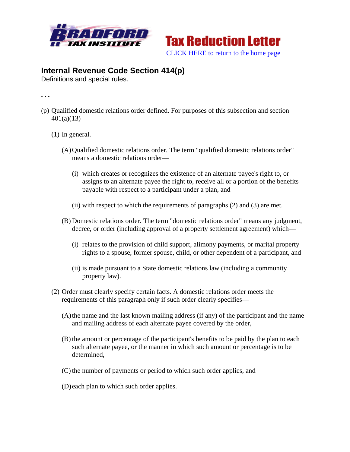



## **Internal Revenue Code Section 414(p)**

Definitions and special rules.

**. . .** 

- (p) Qualified domestic relations order defined. For purposes of this subsection and section  $401(a)(13) -$ 
	- (1) In general.
		- (A)Qualified domestic relations order. The term "qualified domestic relations order" means a domestic relations order—
			- (i) which creates or recognizes the existence of an alternate payee's right to, or assigns to an alternate payee the right to, receive all or a portion of the benefits payable with respect to a participant under a plan, and
			- (ii) with respect to which the requirements of paragraphs (2) and (3) are met.
		- (B) Domestic relations order. The term "domestic relations order" means any judgment, decree, or order (including approval of a property settlement agreement) which—
			- (i) relates to the provision of child support, alimony payments, or marital property rights to a spouse, former spouse, child, or other dependent of a participant, and
			- (ii) is made pursuant to a State domestic relations law (including a community property law).
	- (2) Order must clearly specify certain facts. A domestic relations order meets the requirements of this paragraph only if such order clearly specifies—
		- (A)the name and the last known mailing address (if any) of the participant and the name and mailing address of each alternate payee covered by the order,
		- (B) the amount or percentage of the participant's benefits to be paid by the plan to each such alternate payee, or the manner in which such amount or percentage is to be determined,
		- (C) the number of payments or period to which such order applies, and
		- (D) each plan to which such order applies.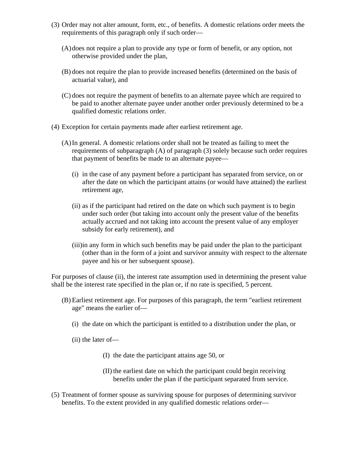- (3) Order may not alter amount, form, etc., of benefits. A domestic relations order meets the requirements of this paragraph only if such order—
	- (A)does not require a plan to provide any type or form of benefit, or any option, not otherwise provided under the plan,
	- (B) does not require the plan to provide increased benefits (determined on the basis of actuarial value), and
	- (C) does not require the payment of benefits to an alternate payee which are required to be paid to another alternate payee under another order previously determined to be a qualified domestic relations order.
- (4) Exception for certain payments made after earliest retirement age.
	- (A)In general. A domestic relations order shall not be treated as failing to meet the requirements of subparagraph (A) of paragraph (3) solely because such order requires that payment of benefits be made to an alternate payee—
		- (i) in the case of any payment before a participant has separated from service, on or after the date on which the participant attains (or would have attained) the earliest retirement age,
		- (ii) as if the participant had retired on the date on which such payment is to begin under such order (but taking into account only the present value of the benefits actually accrued and not taking into account the present value of any employer subsidy for early retirement), and
		- (iii)in any form in which such benefits may be paid under the plan to the participant (other than in the form of a joint and survivor annuity with respect to the alternate payee and his or her subsequent spouse).

For purposes of clause (ii), the interest rate assumption used in determining the present value shall be the interest rate specified in the plan or, if no rate is specified, 5 percent.

- (B) Earliest retirement age. For purposes of this paragraph, the term "earliest retirement age" means the earlier of—
	- (i) the date on which the participant is entitled to a distribution under the plan, or
	- (ii) the later of—
		- (I) the date the participant attains age 50, or
		- (II) the earliest date on which the participant could begin receiving benefits under the plan if the participant separated from service.
- (5) Treatment of former spouse as surviving spouse for purposes of determining survivor benefits. To the extent provided in any qualified domestic relations order—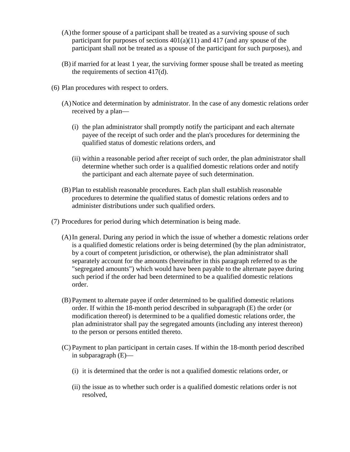- (A)the former spouse of a participant shall be treated as a surviving spouse of such participant for purposes of sections  $401(a)(11)$  and  $417$  (and any spouse of the participant shall not be treated as a spouse of the participant for such purposes), and
- (B) if married for at least 1 year, the surviving former spouse shall be treated as meeting the requirements of section 417(d).
- (6) Plan procedures with respect to orders.
	- (A)Notice and determination by administrator. In the case of any domestic relations order received by a plan—
		- (i) the plan administrator shall promptly notify the participant and each alternate payee of the receipt of such order and the plan's procedures for determining the qualified status of domestic relations orders, and
		- (ii) within a reasonable period after receipt of such order, the plan administrator shall determine whether such order is a qualified domestic relations order and notify the participant and each alternate payee of such determination.
	- (B) Plan to establish reasonable procedures. Each plan shall establish reasonable procedures to determine the qualified status of domestic relations orders and to administer distributions under such qualified orders.
- (7) Procedures for period during which determination is being made.
	- (A)In general. During any period in which the issue of whether a domestic relations order is a qualified domestic relations order is being determined (by the plan administrator, by a court of competent jurisdiction, or otherwise), the plan administrator shall separately account for the amounts (hereinafter in this paragraph referred to as the "segregated amounts") which would have been payable to the alternate payee during such period if the order had been determined to be a qualified domestic relations order.
	- (B) Payment to alternate payee if order determined to be qualified domestic relations order. If within the 18-month period described in subparagraph (E) the order (or modification thereof) is determined to be a qualified domestic relations order, the plan administrator shall pay the segregated amounts (including any interest thereon) to the person or persons entitled thereto.
	- (C) Payment to plan participant in certain cases. If within the 18-month period described in subparagraph (E)—
		- (i) it is determined that the order is not a qualified domestic relations order, or
		- (ii) the issue as to whether such order is a qualified domestic relations order is not resolved,